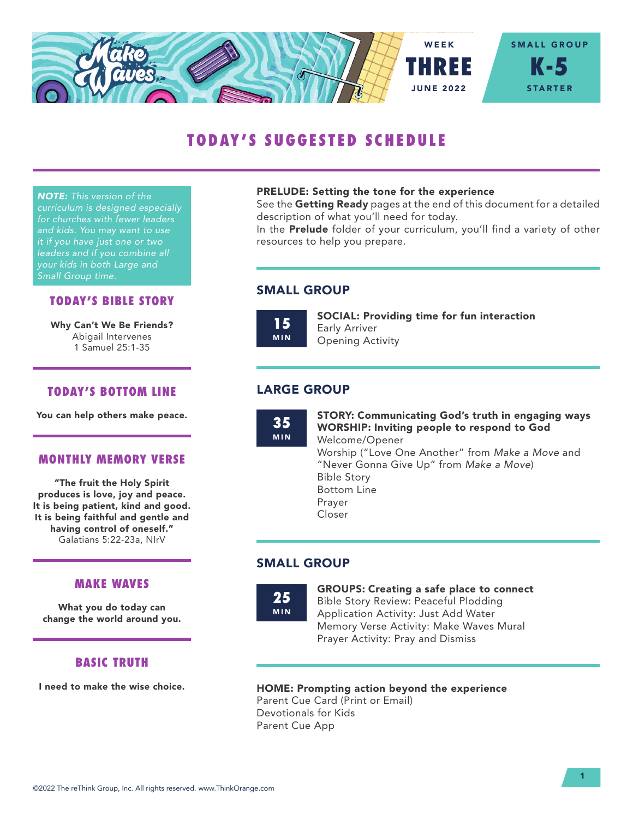

# TODAY'S SUGGESTED SCHEDULE

*NOTE: This version of the curriculum is designed especially for churches with fewer leaders and kids. You may want to use it if you have just one or two leaders and if you combine all your kids in both Large and Small Group time.*

#### TODAY'S BIBLE STORY

Why Can't We Be Friends? Abigail Intervenes 1 Samuel 25:1-35

## TODAY'S BOTTOM LINE

You can help others make peace.

#### MONTHLY MEMORY VERSE

"The fruit the Holy Spirit produces is love, joy and peace. It is being patient, kind and good. It is being faithful and gentle and having control of oneself." Galatians 5:22-23a, NIrV

## MAKE WAVES

What you do today can change the world around you.

## BASIC TRUTH

I need to make the wise choice.

#### PRELUDE: Setting the tone for the experience

See the Getting Ready pages at the end of this document for a detailed description of what you'll need for today.

In the **Prelude** folder of your curriculum, you'll find a variety of other resources to help you prepare.

## SMALL GROUP

15 MIN SOCIAL: Providing time for fun interaction Early Arriver Opening Activity

## LARGE GROUP

35 MIN STORY: Communicating God's truth in engaging ways WORSHIP: Inviting people to respond to God Welcome/Opener Worship ("Love One Another" from *Make a Move* and "Never Gonna Give Up" from *Make a Move*) Bible Story Bottom Line Prayer Closer

## SMALL GROUP

25 MIN GROUPS: Creating a safe place to connect Bible Story Review: Peaceful Plodding Application Activity: Just Add Water Memory Verse Activity: Make Waves Mural Prayer Activity: Pray and Dismiss

#### HOME: Prompting action beyond the experience

Parent Cue Card (Print or Email) Devotionals for Kids Parent Cue App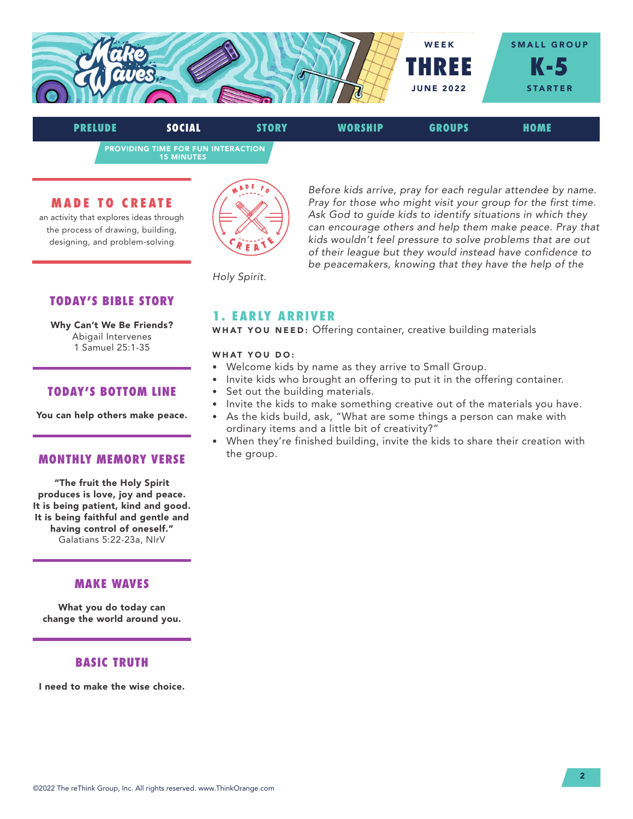

PROVIDING TIME FOR FUN INTERACTION 15 MINUTES PRELUDE SOCIAL STORY WORSHIP GROUPS HOME

#### MADE TO CREATE

an activity that explores ideas through the process of drawing, building, designing, and problem-solving



*Before kids arrive, pray for each regular attendee by name. Pray for those who might visit your group for the first time. Ask God to guide kids to identify situations in which they can encourage others and help them make peace. Pray that kids wouldn't feel pressure to solve problems that are out of their league but they would instead have confidence to be peacemakers, knowing that they have the help of the* 

*Holy Spirit.*

## TODAY'S BIBLE STORY

Why Can't We Be Friends? Abigail Intervenes 1 Samuel 25:1-35

#### TODAY'S BOTTOM LINE

You can help others make peace.

#### MONTHLY MEMORY VERSE

"The fruit the Holy Spirit produces is love, joy and peace. It is being patient, kind and good. It is being faithful and gentle and having control of oneself." Galatians 5:22-23a, NIrV

## MAKE WAVES

What you do today can change the world around you.

## BASIC TRUTH

I need to make the wise choice.

#### 1. EARLY ARRIVER

WHAT YOU NEED: Offering container, creative building materials

#### WHAT YOU DO:

- Welcome kids by name as they arrive to Small Group.
- Invite kids who brought an offering to put it in the offering container.
- Set out the building materials.
- Invite the kids to make something creative out of the materials you have.
- As the kids build, ask, "What are some things a person can make with ordinary items and a little bit of creativity?"
- When they're finished building, invite the kids to share their creation with the group.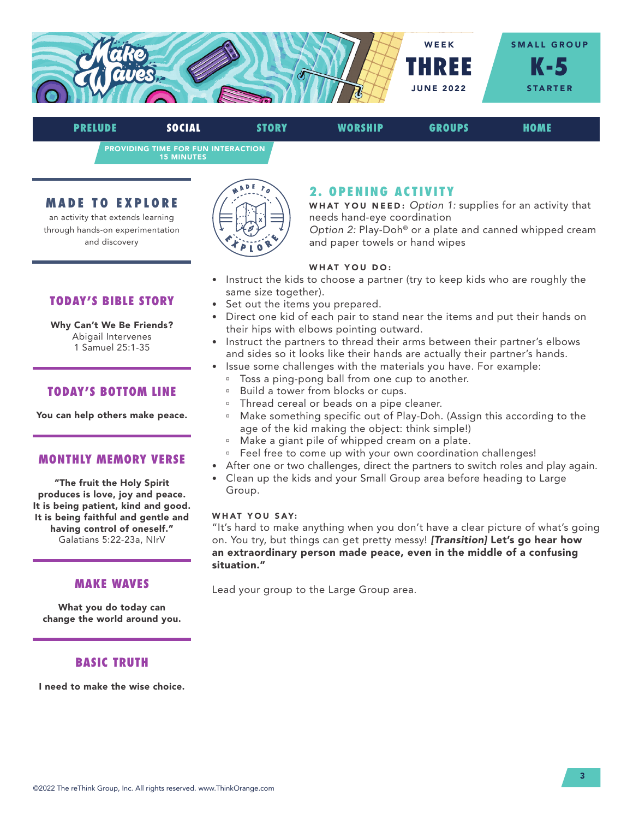

PRELUDE SOCIAL STORY WORSHIP GROUPS HOME

PROVIDING TIME FOR FUN INTERACTION 15 MINUTES

## MADE TO EXPLORE

an activity that extends learning through hands-on experimentation and discovery

TODAY'S BIBLE STORY

Why Can't We Be Friends? Abigail Intervenes 1 Samuel 25:1-35



# 2. OPENING ACTIVITY

WHAT YOU NEED: *Option 1:* supplies for an activity that needs hand-eye coordination

*Option 2:* Play-Doh® or a plate and canned whipped cream and paper towels or hand wipes

#### WHAT YOU DO:

- Instruct the kids to choose a partner (try to keep kids who are roughly the same size together).
- Set out the items you prepared.
- Direct one kid of each pair to stand near the items and put their hands on their hips with elbows pointing outward.
- Instruct the partners to thread their arms between their partner's elbows and sides so it looks like their hands are actually their partner's hands.
- Issue some challenges with the materials you have. For example:
	- <sup>o</sup> Toss a ping-pong ball from one cup to another.
	- <sup>a</sup> Build a tower from blocks or cups.
	- <sup>o</sup> Thread cereal or beads on a pipe cleaner.
	- ú Make something specific out of Play-Doh. (Assign this according to the age of the kid making the object: think simple!)
	- <sup>a</sup> Make a giant pile of whipped cream on a plate.
	- <sup>o</sup> Feel free to come up with your own coordination challenges!
- After one or two challenges, direct the partners to switch roles and play again.
- Clean up the kids and your Small Group area before heading to Large Group.

#### WHAT YOU SAY:

"It's hard to make anything when you don't have a clear picture of what's going on. You try, but things can get pretty messy! *[Transition]* Let's go hear how an extraordinary person made peace, even in the middle of a confusing situation."

Lead your group to the Large Group area.

TODAY'S BOTTOM LINE

You can help others make peace.

#### MONTHLY MEMORY VERSE

"The fruit the Holy Spirit produces is love, joy and peace. It is being patient, kind and good. It is being faithful and gentle and having control of oneself." Galatians 5:22-23a, NIrV

## MAKE WAVES

What you do today can change the world around you.

## BASIC TRUTH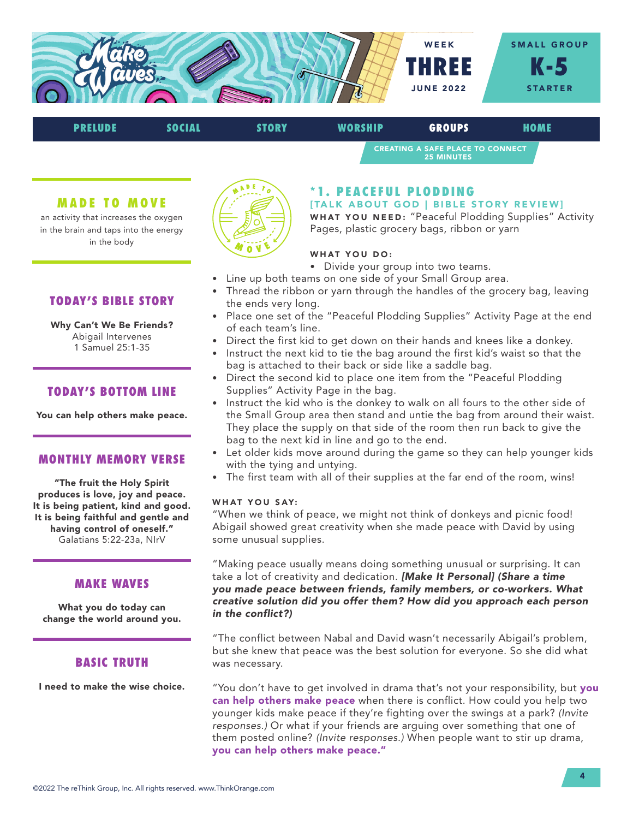

# PRELUDE SOCIAL STORY WORSHIP GROUPS HOME

CREATING A SAFE PLACE TO CONNECT 25 MINUTES

#### MADE TO MOVE

an activity that increases the oxygen in the brain and taps into the energy in the body



## \*1. PEACEFUL PLODDING

[TALK ABOUT GOD | BIBLE STORY REVIEW] WHAT YOU NEED: "Peaceful Plodding Supplies" Activity Pages, plastic grocery bags, ribbon or yarn

#### WHAT YOU DO:

- Divide your group into two teams.
- Line up both teams on one side of your Small Group area.
- Thread the ribbon or yarn through the handles of the grocery bag, leaving the ends very long.
- Place one set of the "Peaceful Plodding Supplies" Activity Page at the end of each team's line.
- Direct the first kid to get down on their hands and knees like a donkey.
- Instruct the next kid to tie the bag around the first kid's waist so that the bag is attached to their back or side like a saddle bag.
- Direct the second kid to place one item from the "Peaceful Plodding Supplies" Activity Page in the bag.
- Instruct the kid who is the donkey to walk on all fours to the other side of the Small Group area then stand and untie the bag from around their waist. They place the supply on that side of the room then run back to give the bag to the next kid in line and go to the end.
- Let older kids move around during the game so they can help younger kids with the tying and untying.
- The first team with all of their supplies at the far end of the room, wins!

#### WHAT YOU SAY:

"When we think of peace, we might not think of donkeys and picnic food! Abigail showed great creativity when she made peace with David by using some unusual supplies.

"Making peace usually means doing something unusual or surprising. It can take a lot of creativity and dedication. *[Make It Personal] (Share a time you made peace between friends, family members, or co-workers. What creative solution did you offer them? How did you approach each person in the conflict?)* 

"The conflict between Nabal and David wasn't necessarily Abigail's problem, but she knew that peace was the best solution for everyone. So she did what was necessary.

"You don't have to get involved in drama that's not your responsibility, but you can help others make peace when there is conflict. How could you help two younger kids make peace if they're fighting over the swings at a park? *(Invite responses.)* Or what if your friends are arguing over something that one of them posted online? *(Invite responses.)* When people want to stir up drama, you can help others make peace."

## TODAY'S BIBLE STORY

#### Why Can't We Be Friends? Abigail Intervenes 1 Samuel 25:1-35

## TODAY'S BOTTOM LINE

You can help others make peace.

#### MONTHLY MEMORY VERSE

"The fruit the Holy Spirit produces is love, joy and peace. It is being patient, kind and good. It is being faithful and gentle and having control of oneself." Galatians 5:22-23a, NIrV

## MAKE WAVES

What you do today can change the world around you.

## BASIC TRUTH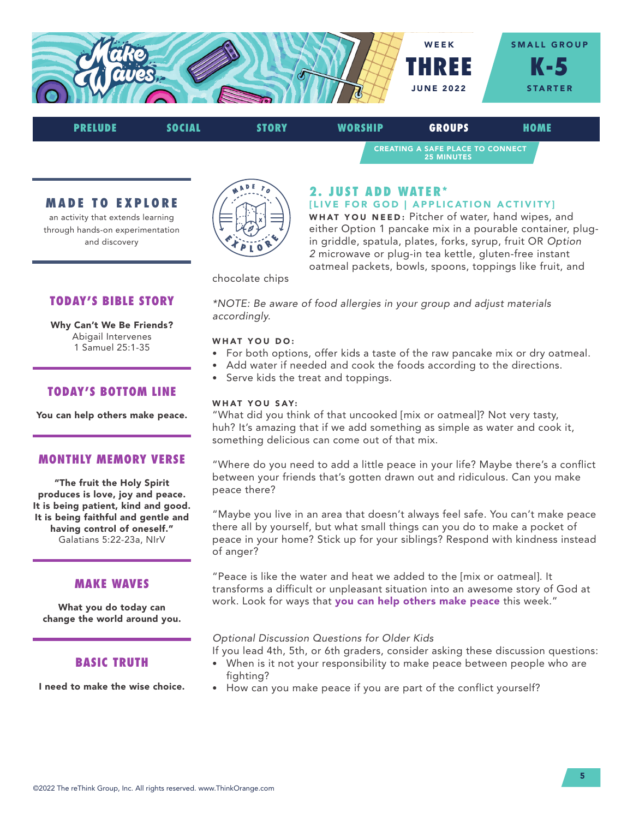

CREATING A SAFE PLACE TO CONNECT 25 MINUTES PRELUDE SOCIAL STORY WORSHIP GROUPS HOME

## MADE TO EXPLORE

an activity that extends learning through hands-on experimentation and discovery



## 2. JUST ADD WATER\*

#### [LIVE FOR GOD | APPLICATION ACTIVITY]

WHAT YOU NEED: Pitcher of water, hand wipes, and either Option 1 pancake mix in a pourable container, plugin griddle, spatula, plates, forks, syrup, fruit OR *Option 2* microwave or plug-in tea kettle, gluten-free instant oatmeal packets, bowls, spoons, toppings like fruit, and

chocolate chips

*\*NOTE: Be aware of food allergies in your group and adjust materials accordingly.*

#### WHAT YOU DO:

- For both options, offer kids a taste of the raw pancake mix or dry oatmeal.
- Add water if needed and cook the foods according to the directions.
- Serve kids the treat and toppings.

#### WHAT YOU SAY:

"What did you think of that uncooked [mix or oatmeal]? Not very tasty, huh? It's amazing that if we add something as simple as water and cook it, something delicious can come out of that mix.

"Where do you need to add a little peace in your life? Maybe there's a conflict between your friends that's gotten drawn out and ridiculous. Can you make peace there?

"Maybe you live in an area that doesn't always feel safe. You can't make peace there all by yourself, but what small things can you do to make a pocket of peace in your home? Stick up for your siblings? Respond with kindness instead of anger?

"Peace is like the water and heat we added to the [mix or oatmeal]. It transforms a difficult or unpleasant situation into an awesome story of God at work. Look for ways that you can help others make peace this week."

#### *Optional Discussion Questions for Older Kids*

If you lead 4th, 5th, or 6th graders, consider asking these discussion questions:

- When is it not your responsibility to make peace between people who are fighting?
- How can you make peace if you are part of the conflict yourself?

## TODAY'S BIBLE STORY

Why Can't We Be Friends? Abigail Intervenes 1 Samuel 25:1-35

## TODAY'S BOTTOM LINE

You can help others make peace.

#### MONTHLY MEMORY VERSE

"The fruit the Holy Spirit produces is love, joy and peace. It is being patient, kind and good. It is being faithful and gentle and having control of oneself." Galatians 5:22-23a, NIrV

## MAKE WAVES

What you do today can change the world around you.

## BASIC TRUTH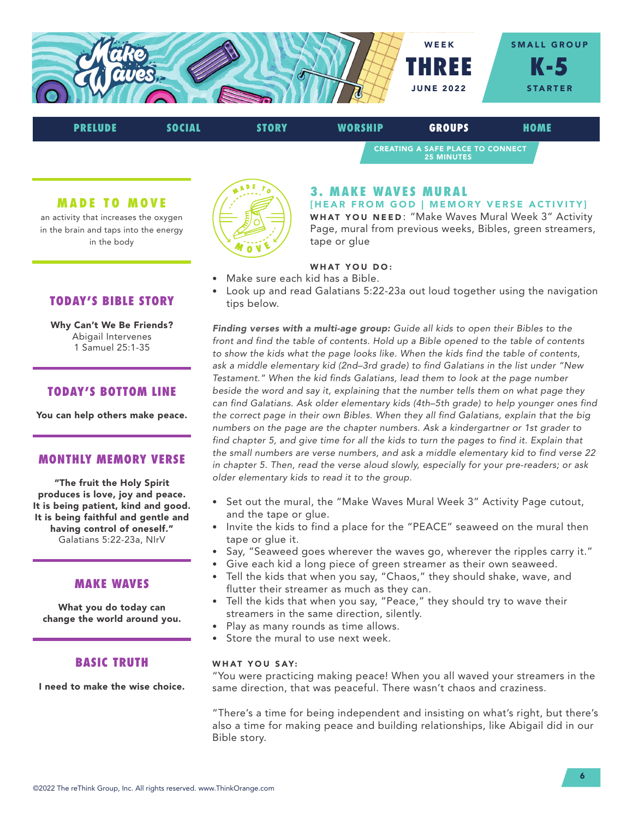



#### MADE TO MOVE

an activity that increases the oxygen in the brain and taps into the energy in the body



## 3. MAKE WAVES MURAL

[HEAR FROM GOD | MEMORY VERSE ACTIVITY] WHAT YOU NEED: "Make Waves Mural Week 3" Activity Page, mural from previous weeks, Bibles, green streamers, tape or glue

## WHAT YOU DO:

- Make sure each kid has a Bible.
- Look up and read Galatians 5:22-23a out loud together using the navigation tips below.

*Finding verses with a multi-age group: Guide all kids to open their Bibles to the front and find the table of contents. Hold up a Bible opened to the table of contents to show the kids what the page looks like. When the kids find the table of contents, ask a middle elementary kid (2nd–3rd grade) to find Galatians in the list under "New Testament." When the kid finds Galatians, lead them to look at the page number*  beside the word and say it, explaining that the number tells them on what page they *can find Galatians. Ask older elementary kids (4th–5th grade) to help younger ones find the correct page in their own Bibles. When they all find Galatians, explain that the big numbers on the page are the chapter numbers. Ask a kindergartner or 1st grader to*  find chapter 5, and give time for all the kids to turn the pages to find it. Explain that *the small numbers are verse numbers, and ask a middle elementary kid to find verse 22 in chapter 5. Then, read the verse aloud slowly, especially for your pre-readers; or ask older elementary kids to read it to the group.*

- Set out the mural, the "Make Waves Mural Week 3" Activity Page cutout, and the tape or glue.
- Invite the kids to find a place for the "PEACE" seaweed on the mural then tape or glue it.
- Say, "Seaweed goes wherever the waves go, wherever the ripples carry it."
- Give each kid a long piece of green streamer as their own seaweed.
- Tell the kids that when you say, "Chaos," they should shake, wave, and flutter their streamer as much as they can.
- Tell the kids that when you say, "Peace," they should try to wave their streamers in the same direction, silently.
- Play as many rounds as time allows.
- Store the mural to use next week.

#### WHAT YOU SAY:

"You were practicing making peace! When you all waved your streamers in the same direction, that was peaceful. There wasn't chaos and craziness.

"There's a time for being independent and insisting on what's right, but there's also a time for making peace and building relationships, like Abigail did in our Bible story.

## TODAY'S BIBLE STORY

Why Can't We Be Friends? Abigail Intervenes 1 Samuel 25:1-35

## TODAY'S BOTTOM LINE

You can help others make peace.

#### MONTHLY MEMORY VERSE

"The fruit the Holy Spirit produces is love, joy and peace. It is being patient, kind and good. It is being faithful and gentle and having control of oneself." Galatians 5:22-23a, NIrV

#### MAKE WAVES

What you do today can change the world around you.

## BASIC TRUTH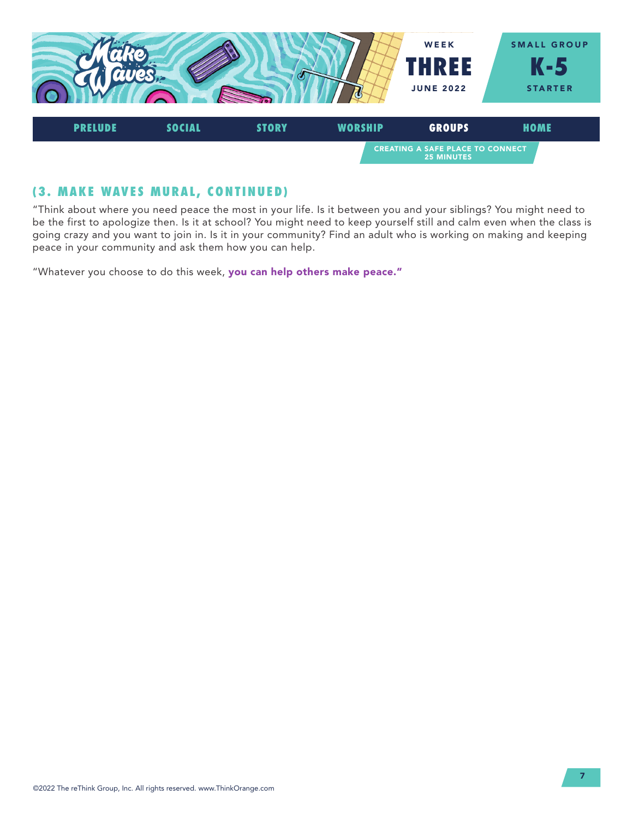

# (3. MAKE WAVES MURAL, CONTINUED)

"Think about where you need peace the most in your life. Is it between you and your siblings? You might need to be the first to apologize then. Is it at school? You might need to keep yourself still and calm even when the class is going crazy and you want to join in. Is it in your community? Find an adult who is working on making and keeping peace in your community and ask them how you can help.

"Whatever you choose to do this week, you can help others make peace."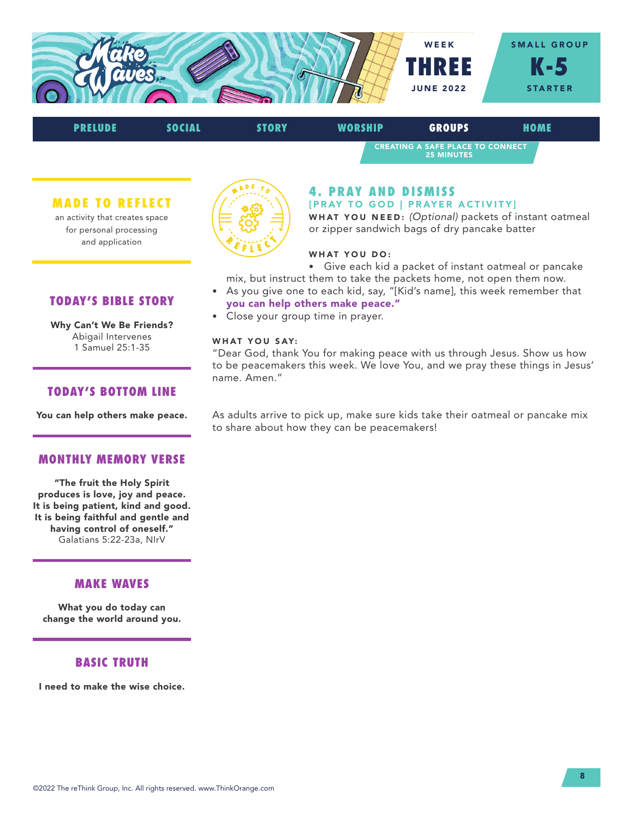



MADE TO REFLECT

an activity that creates space for personal processing and application

TODAY'S BIBLE STORY

Why Can't We Be Friends? Abigail Intervenes 1 Samuel 25:1-35



#### 4. PRAY AND DISMISS [PRAY TO GOD | PRAYER ACTIVITY]

WHAT YOU NEED: *(Optional)* packets of instant oatmeal or zipper sandwich bags of dry pancake batter

#### WHAT YOU DO:

• Give each kid a packet of instant oatmeal or pancake mix, but instruct them to take the packets home, not open them now.

- As you give one to each kid, say, "[Kid's name], this week remember that you can help others make peace."
- Close your group time in prayer.

#### WHAT YOU SAY:

"Dear God, thank You for making peace with us through Jesus. Show us how to be peacemakers this week. We love You, and we pray these things in Jesus' name. Amen."

TODAY'S BOTTOM LINE

You can help others make peace.

#### MONTHLY MEMORY VERSE

"The fruit the Holy Spirit produces is love, joy and peace. It is being patient, kind and good. It is being faithful and gentle and having control of oneself." Galatians 5:22-23a, NIrV

## MAKE WAVES

What you do today can change the world around you.

#### BASIC TRUTH

I need to make the wise choice.

As adults arrive to pick up, make sure kids take their oatmeal or pancake mix to share about how they can be peacemakers!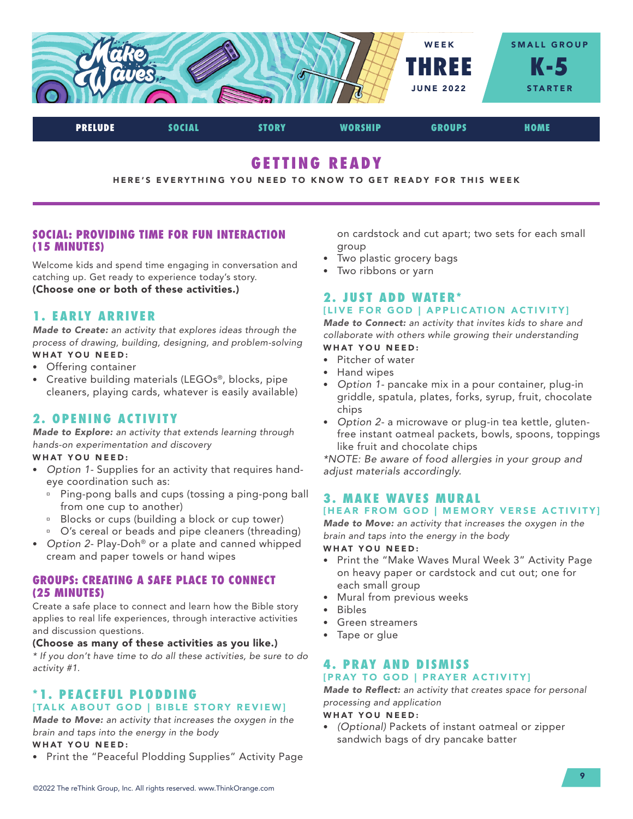

GETTING READY

HERE'S EVERYTHING YOU NEED TO KNOW TO GET READY FOR THIS WEEK

## SOCIAL: PROVIDING TIME FOR FUN INTERACTION (15 MINUTES)

Welcome kids and spend time engaging in conversation and catching up. Get ready to experience today's story. (Choose one or both of these activities.)

## 1. EARLY ARRIVER

*Made to Create: an activity that explores ideas through the process of drawing, building, designing, and problem-solving* WHAT YOU NEED:

- Offering container
- Creative building materials (LEGOs®, blocks, pipe cleaners, playing cards, whatever is easily available)

# 2. OPENING ACTIVITY

*Made to Explore: an activity that extends learning through hands-on experimentation and discovery*

#### WHAT YOU NEED:

- *Option 1-* Supplies for an activity that requires handeye coordination such as:
	- **Ping-pong balls and cups (tossing a ping-pong ball** from one cup to another)
	- <sup>a</sup> Blocks or cups (building a block or cup tower)
	- <sup>o</sup> O's cereal or beads and pipe cleaners (threading)
- *Option 2-* Play-Doh® or a plate and canned whipped cream and paper towels or hand wipes

## GROUPS: CREATING A SAFE PLACE TO CONNECT (25 MINUTES)

Create a safe place to connect and learn how the Bible story applies to real life experiences, through interactive activities and discussion questions.

## (Choose as many of these activities as you like.)

*\* If you don't have time to do all these activities, be sure to do activity #1.*

## \*1. PEACEFUL PLODDING [TALK ABOUT GOD | BIBLE STORY REVIEW]

*Made to Move: an activity that increases the oxygen in the brain and taps into the energy in the body* WHAT YOU NEED:

• Print the "Peaceful Plodding Supplies" Activity Page

on cardstock and cut apart; two sets for each small group

- Two plastic grocery bags
- Two ribbons or yarn

## 2. JUST ADD WATER\* [LIVE FOR GOD | APPLICATION ACTIVITY]

*Made to Connect: an activity that invites kids to share and collaborate with others while growing their understanding*

# WHAT YOU NEED:

- Pitcher of water
- Hand wipes
- *Option 1-* pancake mix in a pour container, plug-in griddle, spatula, plates, forks, syrup, fruit, chocolate chips
- *Option 2-* a microwave or plug-in tea kettle, glutenfree instant oatmeal packets, bowls, spoons, toppings like fruit and chocolate chips

*\*NOTE: Be aware of food allergies in your group and adjust materials accordingly.*

# 3. MAKE WAVES MURAL

## [HEAR FROM GOD | MEMORY VERSE ACTIVITY]

*Made to Move: an activity that increases the oxygen in the brain and taps into the energy in the body*

#### WHAT YOU NEED:

- Print the "Make Waves Mural Week 3" Activity Page on heavy paper or cardstock and cut out; one for each small group
- Mural from previous weeks
- Bibles
- Green streamers
- Tape or glue

#### 4. PRAY AND DISMISS [PRAY TO GOD | PRAYER ACTIVITY]

*Made to Reflect: an activity that creates space for personal processing and application*

WHAT YOU NEED:

• *(Optional)* Packets of instant oatmeal or zipper sandwich bags of dry pancake batter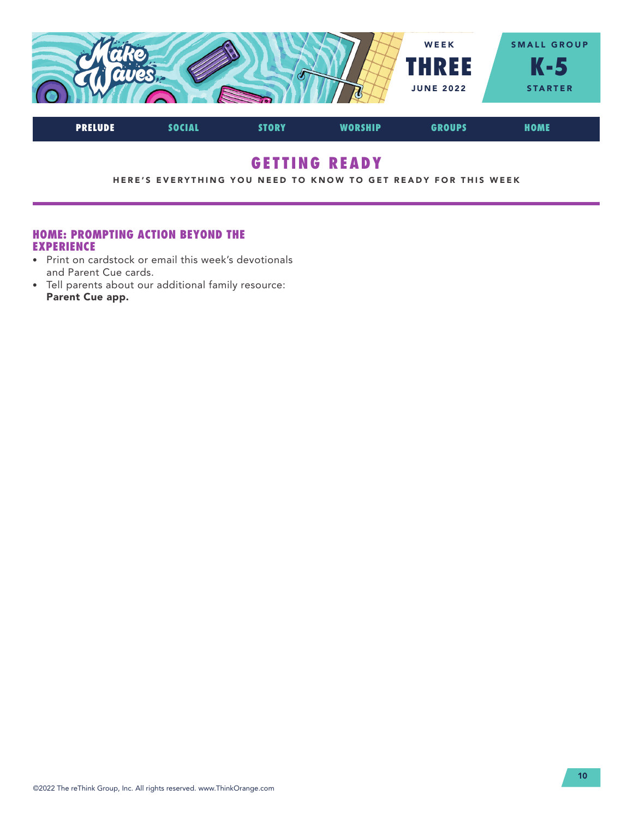

# GETTING READY

HERE'S EVERYTHING YOU NEED TO KNOW TO GET READY FOR THIS WEEK

## HOME: PROMPTING ACTION BEYOND THE EXPERIENCE

- Print on cardstock or email this week's devotionals and Parent Cue cards.
- Tell parents about our additional family resource: Parent Cue app.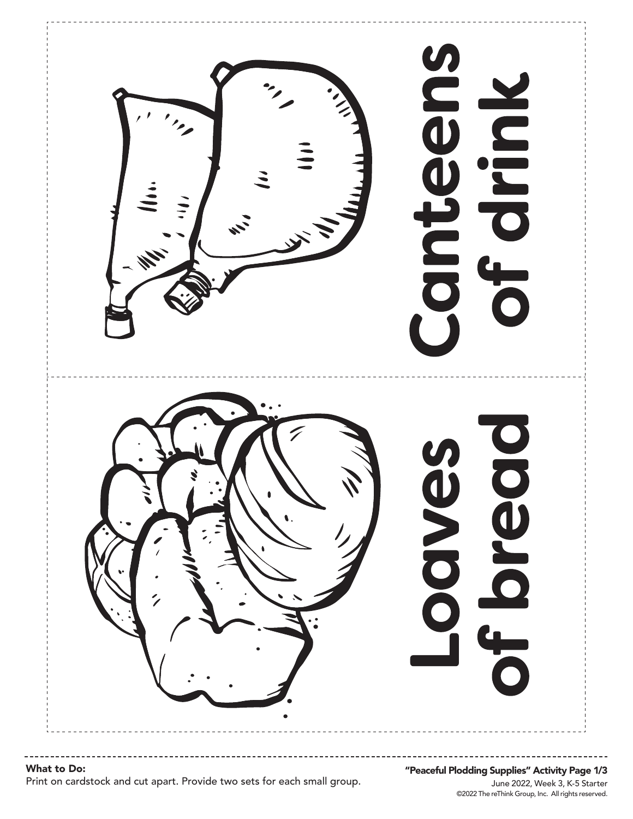**SD** Juho dnp bread **OVEX** 

©2022 The reThink Group, Inc. All rights reserved. June 2022, Week 3, K-5 Starter "Peaceful Plodding Supplies" Activity Page 1/3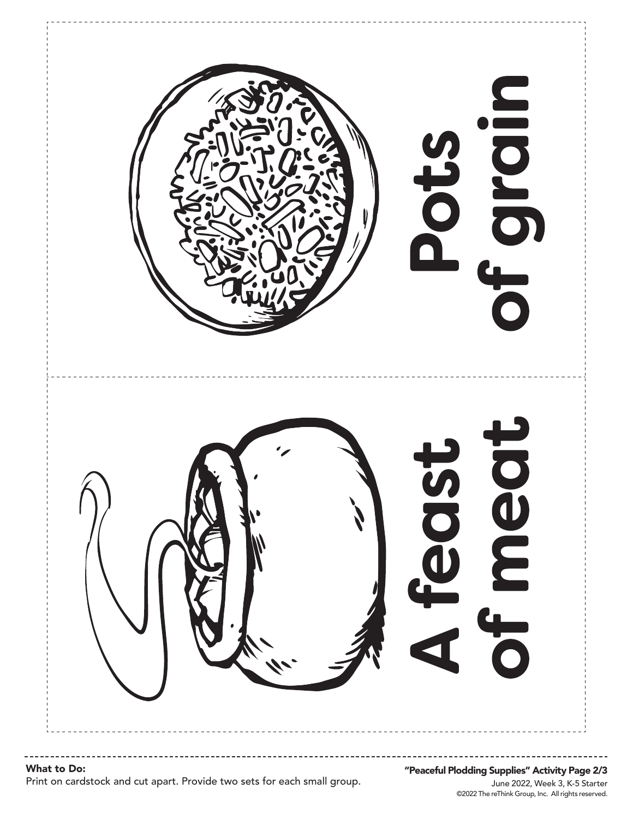

# What to Do:

Print on cardstock and cut apart. Provide two sets for each small group.

©2022 The reThink Group, Inc. All rights reserved. June 2022, Week 3, K-5 Starter "Peaceful Plodding Supplies" Activity Page 2/3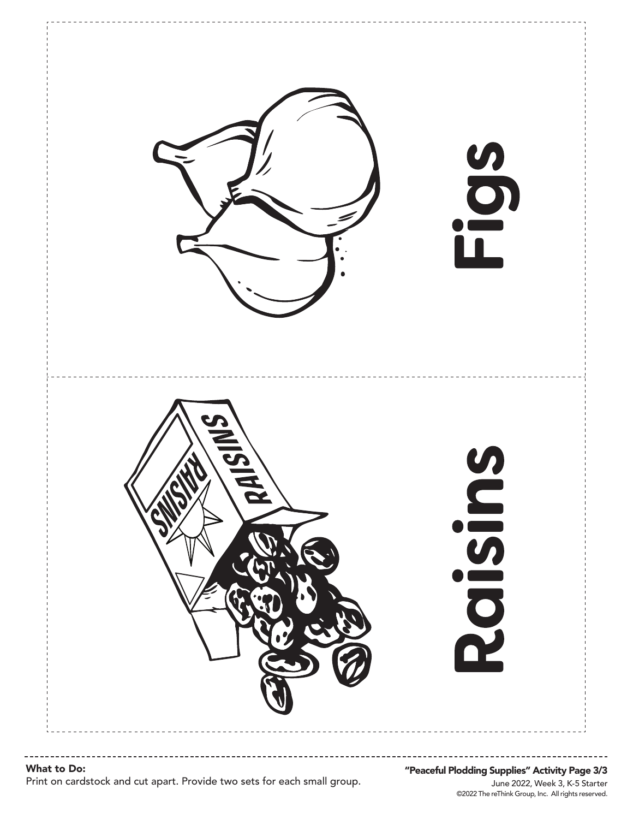

#### ©2022 The reThink Group, Inc. All rights reserved. June 2022, Week 3, K-5 Starter "Peaceful Plodding Supplies" Activity Page 3/3